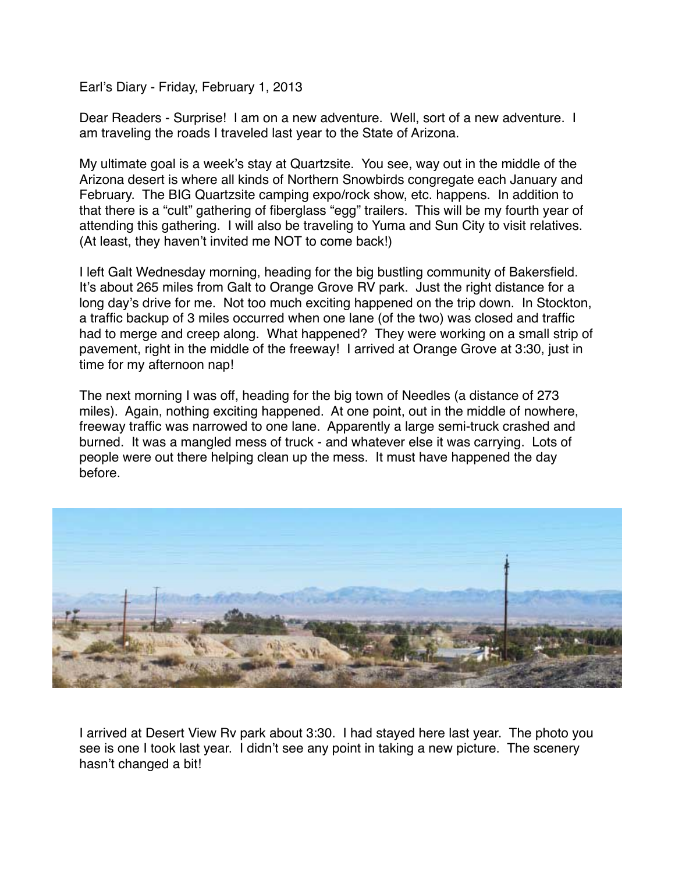Earl's Diary - Friday, February 1, 2013

Dear Readers - Surprise! I am on a new adventure. Well, sort of a new adventure. I am traveling the roads I traveled last year to the State of Arizona.

My ultimate goal is a week's stay at Quartzsite. You see, way out in the middle of the Arizona desert is where all kinds of Northern Snowbirds congregate each January and February. The BIG Quartzsite camping expo/rock show, etc. happens. In addition to that there is a "cult" gathering of fiberglass "egg" trailers. This will be my fourth year of attending this gathering. I will also be traveling to Yuma and Sun City to visit relatives. (At least, they haven't invited me NOT to come back!)

I left Galt Wednesday morning, heading for the big bustling community of Bakersfield. It's about 265 miles from Galt to Orange Grove RV park. Just the right distance for a long day's drive for me. Not too much exciting happened on the trip down. In Stockton, a traffic backup of 3 miles occurred when one lane (of the two) was closed and traffic had to merge and creep along. What happened? They were working on a small strip of pavement, right in the middle of the freeway! I arrived at Orange Grove at 3:30, just in time for my afternoon nap!

The next morning I was off, heading for the big town of Needles (a distance of 273 miles). Again, nothing exciting happened. At one point, out in the middle of nowhere, freeway traffic was narrowed to one lane. Apparently a large semi-truck crashed and burned. It was a mangled mess of truck - and whatever else it was carrying. Lots of people were out there helping clean up the mess. It must have happened the day before.



I arrived at Desert View Rv park about 3:30. I had stayed here last year. The photo you see is one I took last year. I didn't see any point in taking a new picture. The scenery hasn't changed a bit!